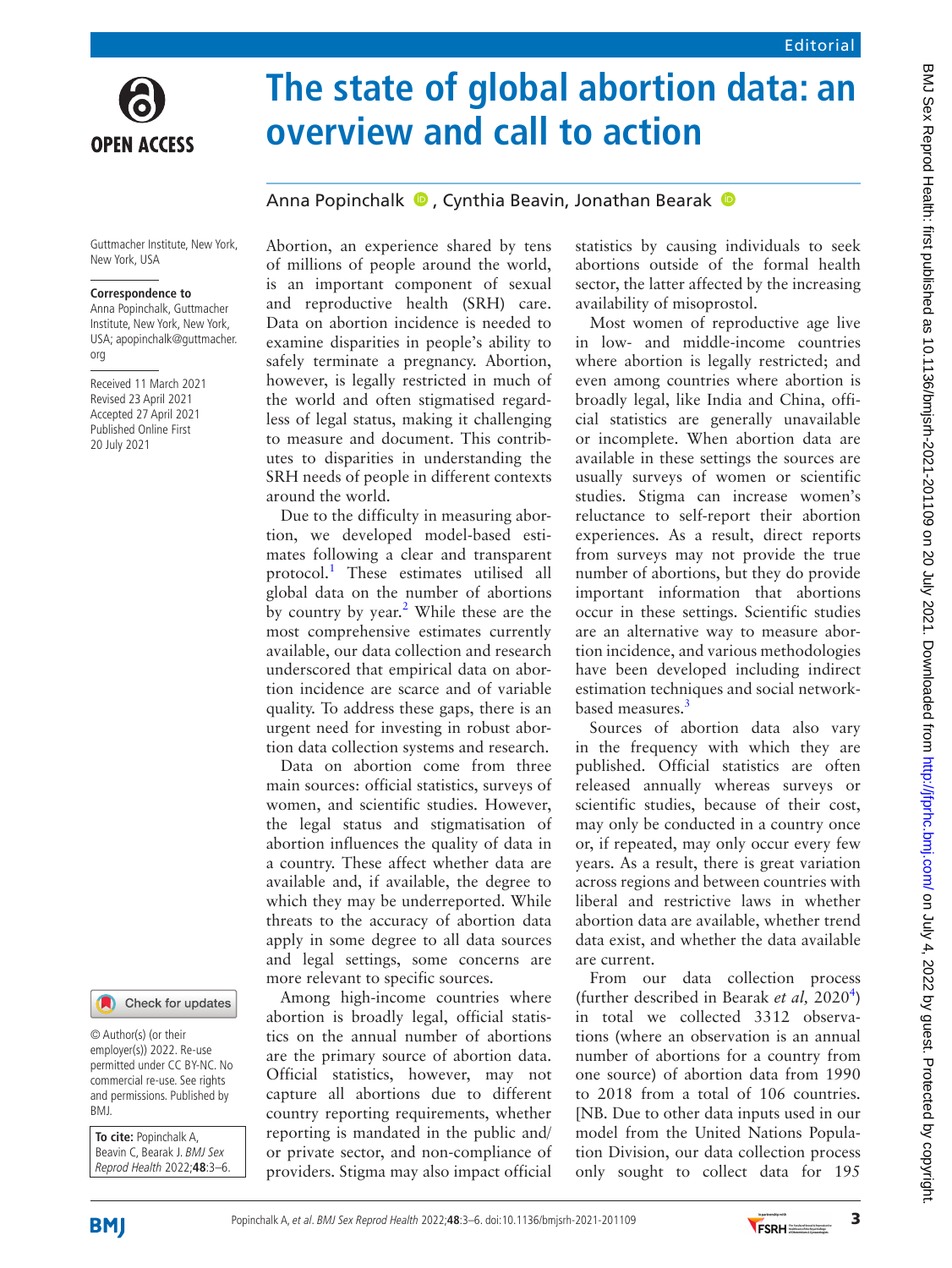

# **The state of global abortion data: an overview and call to action**

## AnnaPopinchalk  $\bullet$ . Cynthia Beavin, Jonathan Bearak  $\bullet$

Guttmacher Institute, New York, New York, USA

#### **Correspondence to**

Anna Popinchalk, Guttmacher Institute, New York, New York, USA; apopinchalk@guttmacher. org

Received 11 March 2021 Revised 23 April 2021 Accepted 27 April 2021 Published Online First 20 July 2021



© Author(s) (or their employer(s)) 2022. Re-use permitted under CC BY-NC. No commercial re-use. See rights and permissions. Published by BMJ.

**To cite:** Popinchalk A, Beavin C, Bearak J. BMJ Sex Reprod Health 2022;**48**:3–6. Abortion, an experience shared by tens of millions of people around the world, is an important component of sexual and reproductive health (SRH) care. Data on abortion incidence is needed to examine disparities in people's ability to safely terminate a pregnancy. Abortion, however, is legally restricted in much of the world and often stigmatised regardless of legal status, making it challenging to measure and document. This contributes to disparities in understanding the SRH needs of people in different contexts around the world.

Due to the difficulty in measuring abortion, we developed model-based estimates following a clear and transparent protocol.<sup>[1](#page-3-0)</sup> These estimates utilised all global data on the number of abortions by country by year.<sup>[2](#page-3-1)</sup> While these are the most comprehensive estimates currently available, our data collection and research underscored that empirical data on abortion incidence are scarce and of variable quality. To address these gaps, there is an urgent need for investing in robust abortion data collection systems and research.

Data on abortion come from three main sources: official statistics, surveys of women, and scientific studies. However, the legal status and stigmatisation of abortion influences the quality of data in a country. These affect whether data are available and, if available, the degree to which they may be underreported. While threats to the accuracy of abortion data apply in some degree to all data sources and legal settings, some concerns are more relevant to specific sources.

Among high-income countries where abortion is broadly legal, official statistics on the annual number of abortions are the primary source of abortion data. Official statistics, however, may not capture all abortions due to different country reporting requirements, whether reporting is mandated in the public and/ or private sector, and non-compliance of providers. Stigma may also impact official statistics by causing individuals to seek abortions outside of the formal health sector, the latter affected by the increasing availability of misoprostol.

Most women of reproductive age live in low- and middle-income countries where abortion is legally restricted; and even among countries where abortion is broadly legal, like India and China, official statistics are generally unavailable or incomplete. When abortion data are available in these settings the sources are usually surveys of women or scientific studies. Stigma can increase women's reluctance to self-report their abortion experiences. As a result, direct reports from surveys may not provide the true number of abortions, but they do provide important information that abortions occur in these settings. Scientific studies are an alternative way to measure abortion incidence, and various methodologies have been developed including indirect estimation techniques and social networkbased measures.<sup>3</sup>

Sources of abortion data also vary in the frequency with which they are published. Official statistics are often released annually whereas surveys or scientific studies, because of their cost, may only be conducted in a country once or, if repeated, may only occur every few years. As a result, there is great variation across regions and between countries with liberal and restrictive laws in whether abortion data are available, whether trend data exist, and whether the data available are current.

From our data collection process (further described in Bearak *et al*, 2020<sup>[4](#page-3-3)</sup>) in total we collected 3312 observations (where an observation is an annual number of abortions for a country from one source) of abortion data from 1990 to 2018 from a total of 106 countries. [NB. Due to other data inputs used in our model from the United Nations Population Division, our data collection process only sought to collect data for 195



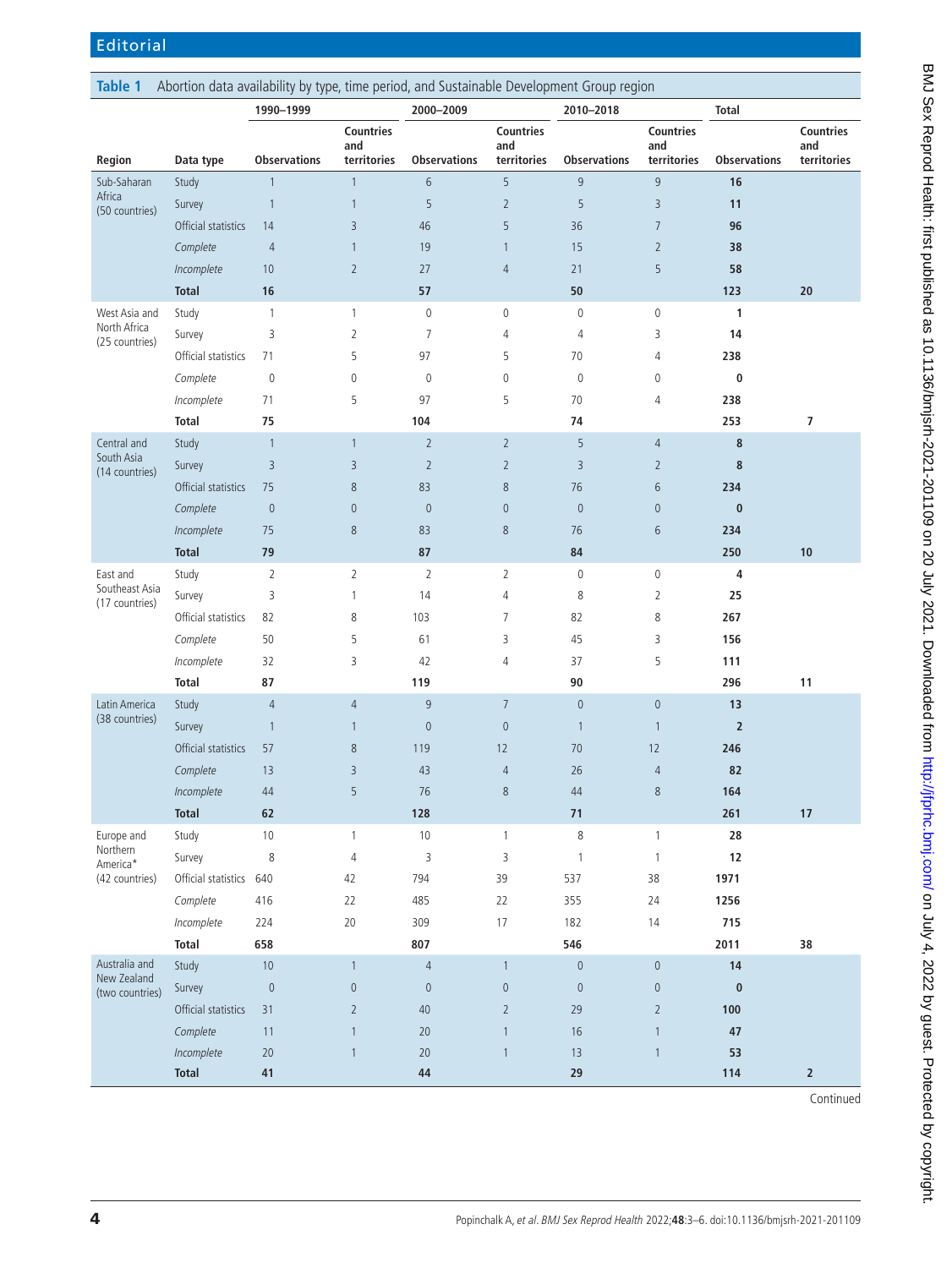<span id="page-1-0"></span>

| Abortion data availability by type, time period, and Sustainable Development Group region<br><b>Table 1</b> |                         |                          |                         |                     |                         |                          |                         |                     |                          |
|-------------------------------------------------------------------------------------------------------------|-------------------------|--------------------------|-------------------------|---------------------|-------------------------|--------------------------|-------------------------|---------------------|--------------------------|
|                                                                                                             |                         | 1990-1999                |                         | 2000-2009           |                         | 2010-2018                |                         | <b>Total</b>        |                          |
|                                                                                                             |                         |                          | <b>Countries</b><br>and |                     | <b>Countries</b><br>and |                          | <b>Countries</b><br>and |                     | <b>Countries</b><br>and  |
| Region                                                                                                      | Data type               | <b>Observations</b>      | territories             | <b>Observations</b> | territories             | <b>Observations</b>      | territories             | <b>Observations</b> | territories              |
| Sub-Saharan<br>Africa<br>(50 countries)                                                                     | Study                   | $\mathbf{1}$             | $\mathbf{1}$            | 6                   | 5                       | 9                        | 9                       | 16                  |                          |
|                                                                                                             | Survey                  | $\mathbf{1}$             | $\mathbf{1}$            | 5                   | $\overline{2}$          | 5                        | 3                       | 11                  |                          |
|                                                                                                             | Official statistics     | 14                       | 3                       | 46                  | 5                       | 36                       | $\overline{7}$          | 96                  |                          |
|                                                                                                             | Complete                | $\overline{4}$           | $\mathbf{1}$            | 19                  | $\mathbf{1}$            | 15                       | $\overline{2}$          | 38                  |                          |
|                                                                                                             | Incomplete              | 10                       | $\overline{2}$          | 27                  | $\overline{4}$          | 21                       | 5                       | 58                  |                          |
|                                                                                                             | <b>Total</b>            | 16                       |                         | 57                  |                         | 50                       |                         | 123                 | 20                       |
| West Asia and                                                                                               | Study                   | $\mathbf{1}$             | $\mathbf{1}$            | $\mathbb O$         | $\mathbb O$             | $\mathbf 0$              | $\mathbf 0$             | $\mathbf{1}$        |                          |
| North Africa<br>(25 countries)                                                                              | Survey                  | 3                        | $\overline{2}$          | $\overline{7}$      | 4                       | $\overline{4}$           | 3                       | 14                  |                          |
|                                                                                                             | Official statistics     | 71                       | 5                       | 97                  | 5                       | 70                       | 4                       | 238                 |                          |
|                                                                                                             | Complete                | $\mathbf 0$              | 0                       | $\mathbb O$         | $\mathbb O$             | $\mathbf 0$              | $\mathbb O$             | 0                   |                          |
|                                                                                                             | Incomplete              | 71                       | 5                       | 97                  | 5                       | 70                       | 4                       | 238                 |                          |
|                                                                                                             | <b>Total</b>            | 75                       |                         | 104                 |                         | 74                       |                         | 253                 | $\overline{\phantom{a}}$ |
| Central and                                                                                                 | Study                   | $\mathbf{1}$             | $\mathbf{1}$            | $\overline{2}$      | $\overline{2}$          | 5                        | $\overline{4}$          | 8                   |                          |
| South Asia<br>(14 countries)                                                                                | Survey                  | $\overline{3}$           | 3                       | $\overline{2}$      | $\overline{2}$          | 3                        | $\overline{2}$          | 8                   |                          |
|                                                                                                             | Official statistics     | 75                       | 8                       | 83                  | $8\,$                   | 76                       | 6                       | 234                 |                          |
|                                                                                                             | Complete                | $\mathbb O$              | $\mathbf{0}$            | $\mathbf 0$         | $\mathbf 0$             | $\overline{0}$           | $\mathbf 0$             | $\pmb{0}$           |                          |
|                                                                                                             | Incomplete              | 75                       | 8                       | 83                  | $\,8\,$                 | 76                       | 6                       | 234                 |                          |
|                                                                                                             | <b>Total</b>            | 79                       |                         | 87                  |                         | 84                       |                         | 250                 | 10                       |
| East and                                                                                                    | Study                   | $\overline{2}$           | $\overline{2}$          | $\overline{2}$      | $\overline{2}$          | $\mathbb O$              | $\mathbf 0$             | 4                   |                          |
| Southeast Asia<br>(17 countries)                                                                            | Survey                  | 3                        | $\mathbf{1}$            | 14                  | 4                       | 8                        | 2                       | 25                  |                          |
|                                                                                                             | Official statistics     | 82                       | 8                       | 103                 | $\overline{7}$          | 82                       | 8                       | 267                 |                          |
|                                                                                                             | Complete                | 50                       | 5                       | 61                  | 3                       | 45                       | 3                       | 156                 |                          |
|                                                                                                             | Incomplete              | 32                       | 3                       | 42                  | 4                       | 37                       | 5                       | 111                 |                          |
|                                                                                                             | <b>Total</b>            | 87                       |                         | 119                 |                         | 90                       |                         | 296                 | 11                       |
| Latin America                                                                                               | Study                   | $\overline{4}$           | $\overline{4}$          | $9$                 | $\overline{7}$          | $\theta$                 | $\mathbf 0$             | 13                  |                          |
| (38 countries)                                                                                              | Survey                  | $\overline{\phantom{a}}$ | $\mathbf{1}$            | $\mathbf 0$         | $\mathbf 0$             | $\overline{\phantom{a}}$ | $\mathbf{1}$            | $\overline{2}$      |                          |
|                                                                                                             | Official statistics     | 57                       | 8                       | 119                 | 12                      | 70                       | 12                      | 246                 |                          |
|                                                                                                             | Complete                | 13                       | $\overline{3}$          | 43                  | $\overline{4}$          | 26                       | $\overline{4}$          | 82                  |                          |
|                                                                                                             | Incomplete              | 44                       | 5                       | 76                  | 8                       | 44                       | 8                       | 164                 |                          |
|                                                                                                             | <b>Total</b>            | 62                       |                         | 128                 |                         | 71                       |                         | 261                 | 17                       |
| Europe and                                                                                                  | Study                   | $10\,$                   | $\mathbf{1}$            | $10\,$              | $\mathbf{1}$            | $\,8\,$                  | $\mathbf{1}$            | 28                  |                          |
| Northern<br>America*<br>(42 countries)                                                                      | Survey                  | $\,8\,$                  | $\sqrt{4}$              | 3                   | 3                       | $\mathbf{1}$             | $\mathbf{1}$            | $12\,$              |                          |
|                                                                                                             | Official statistics 640 |                          | 42                      | 794                 | 39                      | 537                      | 38                      | 1971                |                          |
|                                                                                                             | Complete                | 416                      | 22                      | 485                 | 22                      | 355                      | 24                      | 1256                |                          |
|                                                                                                             | Incomplete              | 224                      | 20                      | 309                 | 17                      | 182                      | 14                      | 715                 |                          |
|                                                                                                             | <b>Total</b>            | 658                      |                         | 807                 |                         | 546                      |                         | 2011                | 38                       |
| Australia and<br>New Zealand<br>(two countries)                                                             | Study                   | $10$                     | $\mathbf{1}$            | $\overline{4}$      | $\mathbf{1}$            | $\mathbf 0$              | $\mathbf 0$             | 14                  |                          |
|                                                                                                             | Survey                  | $\mathbb O$              | $\mathbf 0$             | $\mathbf 0$         | $\mathbf 0$             | $\mathbf 0$              | $\mathbf 0$             | $\pmb{0}$           |                          |
|                                                                                                             | Official statistics     | 31                       | $\overline{2}$          | 40                  | $\overline{2}$          | 29                       | $\overline{2}$          | 100                 |                          |
|                                                                                                             | Complete                | 11                       | $\mathbf{1}$            | 20                  | $\mathbf{1}$            | 16                       | $\mathbf{1}$            | 47                  |                          |
|                                                                                                             | Incomplete              | $20\,$                   | $\mathbf{1}$            | 20                  | $\mathbf{1}$            | 13                       | $\mathbf{1}$            | 53                  |                          |
|                                                                                                             | <b>Total</b>            | 41                       |                         | 44                  |                         | 29                       |                         | 114                 | $\overline{2}$           |
|                                                                                                             |                         |                          |                         |                     |                         |                          |                         |                     | Continued                |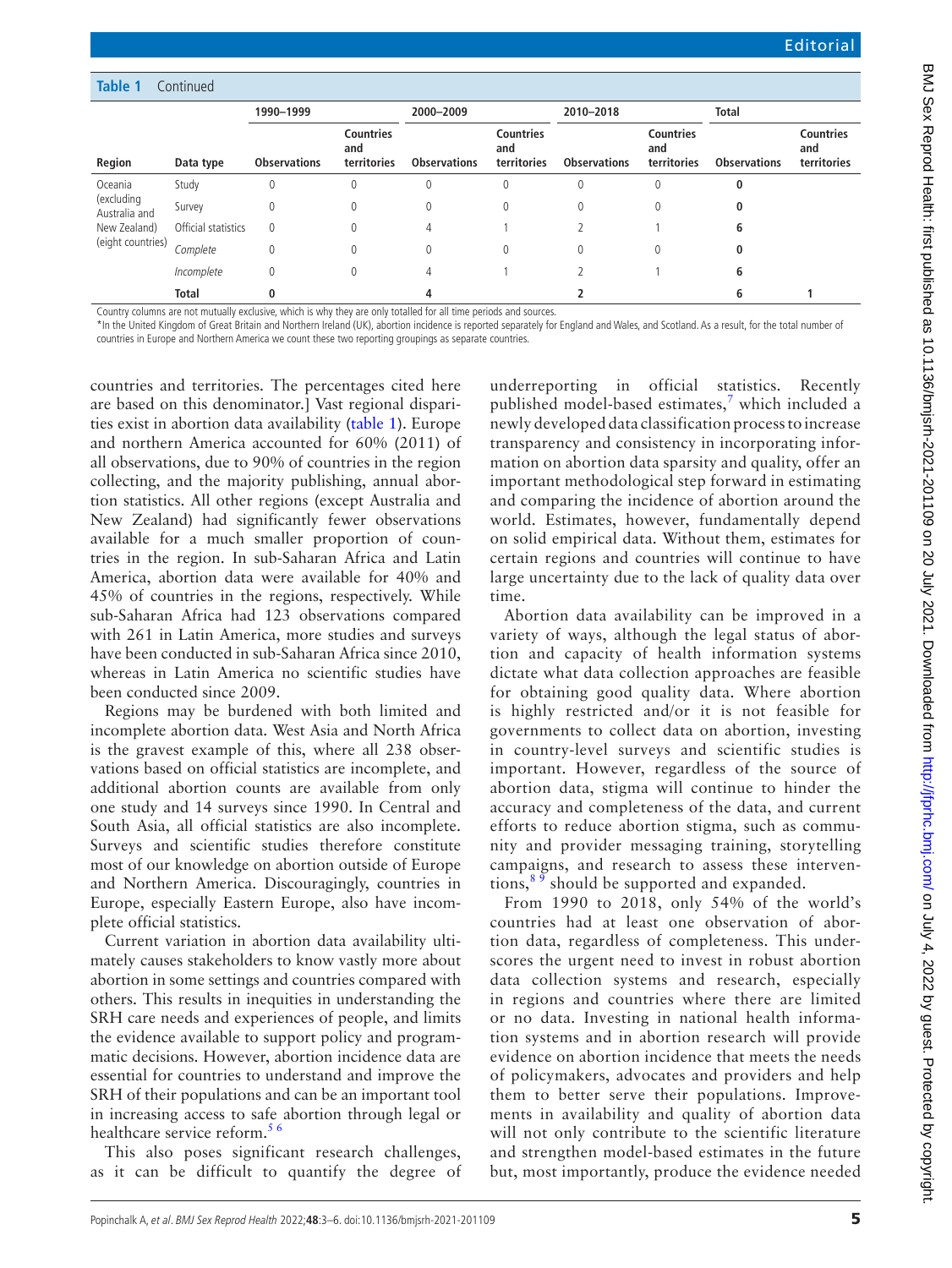| <b>Table 1</b>                                                              | Continued           |                     |                                        |                     |                                        |                     |                                        |                     |                                        |
|-----------------------------------------------------------------------------|---------------------|---------------------|----------------------------------------|---------------------|----------------------------------------|---------------------|----------------------------------------|---------------------|----------------------------------------|
|                                                                             |                     | 1990-1999           |                                        | 2000-2009           |                                        | 2010-2018           |                                        | <b>Total</b>        |                                        |
| Region                                                                      | Data type           | <b>Observations</b> | <b>Countries</b><br>and<br>territories | <b>Observations</b> | <b>Countries</b><br>and<br>territories | <b>Observations</b> | <b>Countries</b><br>and<br>territories | <b>Observations</b> | <b>Countries</b><br>and<br>territories |
| Oceania<br>(excluding<br>Australia and<br>New Zealand)<br>(eight countries) | Study               | 0                   | 0                                      | 0                   | 0                                      | $\theta$            | 0                                      | 0                   |                                        |
|                                                                             | Survey              | 0                   | 0                                      | 0                   | 0                                      | $\theta$            | $\theta$                               | 0                   |                                        |
|                                                                             | Official statistics | 0                   | $\mathbf{0}$                           | 4                   |                                        |                     |                                        | 6                   |                                        |
|                                                                             | Complete            | 0                   | 0                                      | 0                   | 0                                      | $\theta$            | $\theta$                               | 0                   |                                        |
|                                                                             | Incomplete          | 0                   | 0                                      | 4                   |                                        |                     |                                        | 6                   |                                        |
|                                                                             | <b>Total</b>        | 0                   |                                        | 4                   |                                        |                     |                                        | 6                   |                                        |

Country columns are not mutually exclusive, which is why they are only totalled for all time periods and sources.

\*In the United Kingdom of Great Britain and Northern Ireland (UK), abortion incidence is reported separately for England and Wales, and Scotland. As a result, for the total number of countries in Europe and Northern America we count these two reporting groupings as separate countries.

countries and territories. The percentages cited here are based on this denominator.] Vast regional disparities exist in abortion data availability ([table](#page-1-0) 1). Europe and northern America accounted for 60% (2011) of all observations, due to 90% of countries in the region collecting, and the majority publishing, annual abortion statistics. All other regions (except Australia and New Zealand) had significantly fewer observations available for a much smaller proportion of countries in the region. In sub-Saharan Africa and Latin America, abortion data were available for 40% and 45% of countries in the regions, respectively. While sub-Saharan Africa had 123 observations compared with 261 in Latin America, more studies and surveys have been conducted in sub-Saharan Africa since 2010, whereas in Latin America no scientific studies have been conducted since 2009.

Regions may be burdened with both limited and incomplete abortion data. West Asia and North Africa is the gravest example of this, where all 238 observations based on official statistics are incomplete, and additional abortion counts are available from only one study and 14 surveys since 1990. In Central and South Asia, all official statistics are also incomplete. Surveys and scientific studies therefore constitute most of our knowledge on abortion outside of Europe and Northern America. Discouragingly, countries in Europe, especially Eastern Europe, also have incomplete official statistics.

Current variation in abortion data availability ultimately causes stakeholders to know vastly more about abortion in some settings and countries compared with others. This results in inequities in understanding the SRH care needs and experiences of people, and limits the evidence available to support policy and programmatic decisions. However, abortion incidence data are essential for countries to understand and improve the SRH of their populations and can be an important tool in increasing access to safe abortion through legal or healthcare service reform.<sup>56</sup>

This also poses significant research challenges, as it can be difficult to quantify the degree of underreporting in official statistics. Recently published model-based estimates,<sup>[7](#page-3-5)</sup> which included a newly developed data classification process to increase transparency and consistency in incorporating information on abortion data sparsity and quality, offer an important methodological step forward in estimating and comparing the incidence of abortion around the world. Estimates, however, fundamentally depend on solid empirical data. Without them, estimates for certain regions and countries will continue to have large uncertainty due to the lack of quality data over time.

Abortion data availability can be improved in a variety of ways, although the legal status of abortion and capacity of health information systems dictate what data collection approaches are feasible for obtaining good quality data. Where abortion is highly restricted and/or it is not feasible for governments to collect data on abortion, investing in country-level surveys and scientific studies is important. However, regardless of the source of abortion data, stigma will continue to hinder the accuracy and completeness of the data, and current efforts to reduce abortion stigma, such as community and provider messaging training, storytelling campaigns, and research to assess these interventions,  $89$  should be supported and expanded.

From 1990 to 2018, only 54% of the world's countries had at least one observation of abortion data, regardless of completeness. This underscores the urgent need to invest in robust abortion data collection systems and research, especially in regions and countries where there are limited or no data. Investing in national health information systems and in abortion research will provide evidence on abortion incidence that meets the needs of policymakers, advocates and providers and help them to better serve their populations. Improvements in availability and quality of abortion data will not only contribute to the scientific literature and strengthen model-based estimates in the future but, most importantly, produce the evidence needed